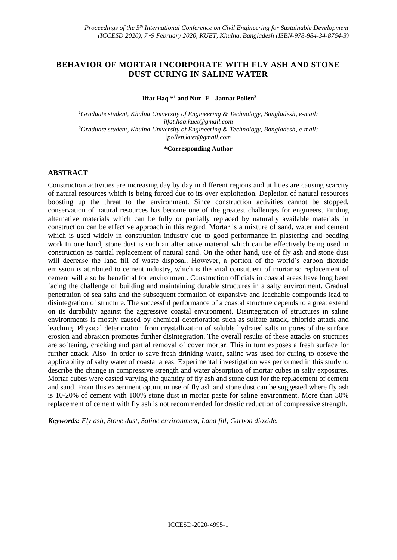# **BEHAVIOR OF MORTAR INCORPORATE WITH FLY ASH AND STONE DUST CURING IN SALINE WATER**

### **Iffat Haq \*<sup>1</sup> and Nur- E - Jannat Pollen<sup>2</sup>**

*<sup>1</sup>Graduate student, Khulna University of Engineering & Technology, Bangladesh, e-mail: iffat.haq.kuet@gmail.com <sup>2</sup>Graduate student, Khulna University of Engineering & Technology, Bangladesh, e-mail: pollen.kuet@gmail.com*

### **\*Corresponding Author**

### **ABSTRACT**

Construction activities are increasing day by day in different regions and utilities are causing scarcity of natural resources which is being forced due to its over exploitation. Depletion of natural resources boosting up the threat to the environment. Since construction activities cannot be stopped, conservation of natural resources has become one of the greatest challenges for engineers. Finding alternative materials which can be fully or partially replaced by naturally available materials in construction can be effective approach in this regard. Mortar is a mixture of sand, water and cement which is used widely in construction industry due to good performance in plastering and bedding work.In one hand, stone dust is such an alternative material which can be effectively being used in construction as partial replacement of natural sand. On the other hand, use of fly ash and stone dust will decrease the land fill of waste disposal. However, a portion of the world's carbon dioxide emission is attributed to cement industry, which is the vital constituent of mortar so replacement of cement will also be beneficial for environment. Construction officials in coastal areas have long been facing the challenge of building and maintaining durable structures in a salty environment. Gradual penetration of sea salts and the subsequent formation of expansive and leachable compounds lead to disintegration of structure. The successful performance of a coastal structure depends to a great extend on its durability against the aggressive coastal environment. Disintegration of structures in saline environments is mostly caused by chemical deterioration such as sulfate attack, chloride attack and leaching. Physical deterioration from crystallization of soluble hydrated salts in pores of the surface erosion and abrasion promotes further disintegration. The overall results of these attacks on stuctures are softening, cracking and partial removal of cover mortar. This in turn exposes a fresh surface for further attack. Also in order to save fresh drinking water, saline was used for curing to obseve the applicability of salty water of coastal areas. Experimental investigation was performed in this study to describe the change in compressive strength and water absorption of mortar cubes in salty exposures. Mortar cubes were casted varying the quantity of fly ash and stone dust for the replacement of cement and sand. From this experiment optimum use of fly ash and stone dust can be suggested where fly ash is 10-20% of cement with 100% stone dust in mortar paste for saline environment. More than 30% replacement of cement with fly ash is not recommended for drastic reduction of compressive strength.

*Keywords: Fly ash, Stone dust, Saline environment, Land fill, Carbon dioxide.*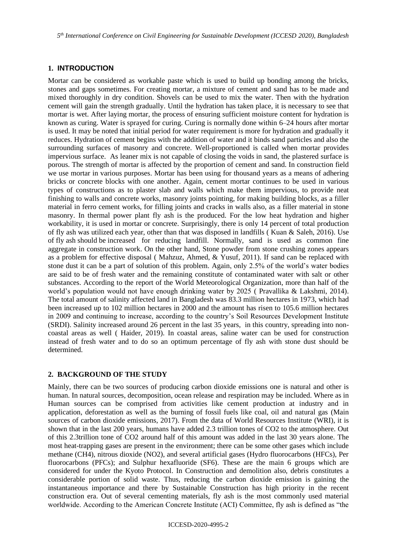## **1. INTRODUCTION**

Mortar can be considered as workable paste which is used to build up bonding among the bricks, stones and gaps sometimes. For creating mortar, a mixture of cement and sand has to be made and mixed thoroughly in dry condition. Shovels can be used to mix the water. Then with the hydration cement will gain the strength gradually. Until the hydration has taken place, it is necessary to see that mortar is wet. After laying mortar, the process of ensuring sufficient moisture content for hydration is known as curing. Water is sprayed for curing. Curing is normally done within 6–24 hours after mortar is used. It may be noted that initial period for water requirement is more for hydration and gradually it reduces. Hydration of cement begins with the addition of water and it binds sand particles and also the surrounding surfaces of masonry and concrete. Well-proportioned is called when mortar provides impervious surface. As leaner mix is not capable of closing the voids in sand, the plastered surface is porous. The strength of mortar is affected by the proportion of cement and sand. In construction field we use mortar in various purposes. Mortar has been using for thousand years as a means of adhering bricks or concrete blocks with one another. Again, cement mortar continues to be used in various types of constructions as to plaster slab and walls which make them impervious, to provide neat finishing to walls and concrete works, masonry joints pointing, for making building blocks, as a filler material in ferro cement works, for filling joints and cracks in walls also, as a filler material in stone masonry. In thermal power plant fly ash is the produced. For the low heat hydration and higher workability, it is used in mortar or concrete. Surprisingly, there is only 14 percent of total production of fly ash was utilized each year, other than that was disposed in landfills ( Kuan & Saleh, 2016). Use of fly ash should be increased for reducing landfill. Normally, sand is used as common fine aggregate in construction work. On the other hand, Stone powder from stone crushing zones appears as a problem for effective disposal ( Mahzuz, Ahmed, & Yusuf, 2011). If sand can be replaced with stone dust it can be a part of solution of this problem. Again, only 2.5% of the world's water bodies are said to be of fresh water and the remaining constitute of contaminated water with salt or other substances. According to the report of the World Meteorological Organization, more than half of the world's population would not have enough drinking water by 2025 ( Pravallika & Lakshmi, 2014). The total amount of salinity affected land in Bangladesh was 83.3 million hectares in 1973, which had been increased up to 102 million hectares in 2000 and the amount has risen to 105.6 million hectares in 2009 and continuing to increase, according to the country's Soil Resources Development Institute (SRDI). Salinity increased around 26 percent in the last 35 years, in this country, spreading into noncoastal areas as well ( Haider, 2019). In coastal areas, saline water can be used for construction instead of fresh water and to do so an optimum percentage of fly ash with stone dust should be determined.

### **2. BACKGROUND OF THE STUDY**

Mainly, there can be two sources of producing carbon dioxide emissions one is natural and other is human. In natural sources, decomposition, ocean release and respiration may be included. Where as in Human sources can be comprised from activities like cement production at industry and in application, deforestation as well as the burning of fossil fuels like coal, oil and natural gas (Main sources of carbon dioxide emissions, 2017). From the data of World Resources Institute (WRI), it is shown that in the last 200 years, humans have added 2.3 trillion tones of CO2 to the atmosphere. Out of this 2.3trillion tone of CO2 around half of this amount was added in the last 30 years alone. The most heat-trapping gases are present in the environment; there can be some other gases which include methane (CH4), nitrous dioxide (NO2), and several artificial gases (Hydro fluorocarbons (HFCs), Per fluorocarbons (PFCs); and Sulphur hexafluoride (SF6). These are the main 6 groups which are considered for under the Kyoto Protocol. In Construction and demolition also, debris constitutes a considerable portion of solid waste. Thus, reducing the carbon dioxide emission is gaining the instantaneous importance and there by Sustainable Construction has high priority in the recent construction era. Out of several cementing materials, fly ash is the most commonly used material worldwide. According to the American Concrete Institute (ACI) Committee, fly ash is defined as "the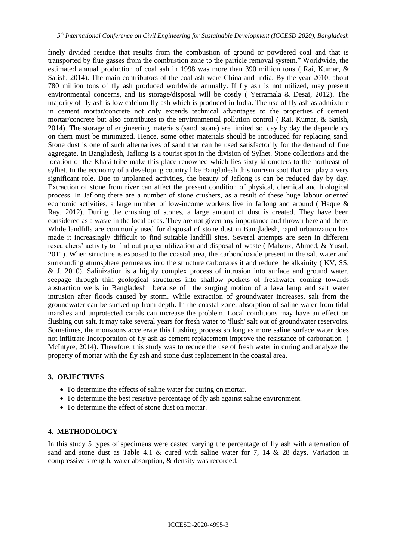finely divided residue that results from the combustion of ground or powdered coal and that is transported by flue gasses from the combustion zone to the particle removal system." Worldwide, the estimated annual production of coal ash in 1998 was more than 390 million tons ( Rai, Kumar, & Satish, 2014). The main contributors of the coal ash were China and India. By the year 2010, about 780 million tons of fly ash produced worldwide annually. If fly ash is not utilized, may present environmental concerns, and its storage/disposal will be costly ( Yerramala & Desai, 2012). The majority of fly ash is low calcium fly ash which is produced in India. The use of fly ash as admixture in cement mortar/concrete not only extends technical advantages to the properties of cement mortar/concrete but also contributes to the environmental pollution control ( Rai, Kumar, & Satish, 2014). The storage of engineering materials (sand, stone) are limited so, day by day the dependency on them must be minimized. Hence, some other materials should be introduced for replacing sand. Stone dust is one of such alternatives of sand that can be used satisfactorily for the demand of fine aggregate. In Bangladesh, Jaflong is a tourist spot in the division of Sylhet. Stone collections and the location of the Khasi tribe make this place renowned which lies sixty kilometers to the northeast of sylhet. In the economy of a developing country like Bangladesh this tourism spot that can play a very significant role. Due to unplanned activities, the beauty of Jaflong is can be reduced day by day. Extraction of stone from river can affect the present condition of physical, chemical and biological process. In Jaflong there are a number of stone crushers, as a result of these huge labour oriented economic activities, a large number of low-income workers live in Jaflong and around ( Haque & Ray, 2012). During the crushing of stones, a large amount of dust is created. They have been considered as a waste in the local areas. They are not given any importance and thrown here and there. While landfills are commonly used for disposal of stone dust in Bangladesh, rapid urbanization has made it increasingly difficult to find suitable landfill sites. Several attempts are seen in different researchers' activity to find out proper utilization and disposal of waste ( Mahzuz, Ahmed, & Yusuf, 2011). When structure is exposed to the coastal area, the carbondioxide present in the salt water and surrounding atmosphere permeates into the structure carbonates it and reduce the alkainity ( KV, SS, & J, 2010). Salinization is a highly complex process of intrusion into surface and ground water, seepage through thin geological structures into shallow pockets of freshwater coming towards abstraction wells in Bangladesh because of the surging motion of a lava lamp and salt water intrusion after floods caused by storm. While extraction of groundwater increases, salt from the groundwater can be sucked up from depth. In the coastal zone, absorption of saline water from tidal marshes and unprotected canals can increase the problem. Local conditions may have an effect on flushing out salt, it may take several years for fresh water to 'flush' salt out of groundwater reservoirs. Sometimes, the monsoons accelerate this flushing process so long as more saline surface water does not infiltrate Incorporation of fly ash as cement replacement improve the resistance of carbonation ( McIntyre, 2014). Therefore, this study was to reduce the use of fresh water in curing and analyze the property of mortar with the fly ash and stone dust replacement in the coastal area.

### **3. OBJECTIVES**

- To determine the effects of saline water for curing on mortar.
- To determine the best resistive percentage of fly ash against saline environment.
- To determine the effect of stone dust on mortar.

### **4. METHODOLOGY**

In this study 5 types of specimens were casted varying the percentage of fly ash with alternation of sand and stone dust as Table 4.1 & cured with saline water for 7, 14 & 28 days. Variation in compressive strength, water absorption, & density was recorded.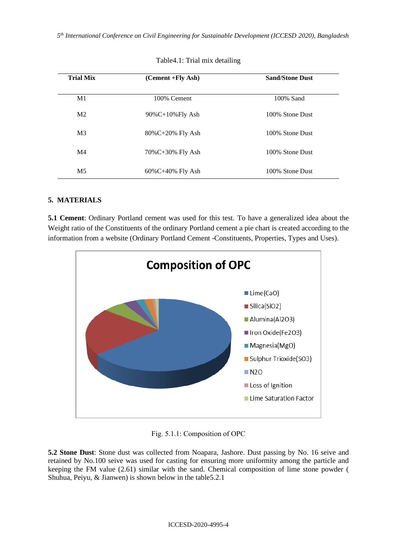| <b>Trial Mix</b> | (Cement +Fly Ash)      | <b>Sand/Stone Dust</b> |  |  |
|------------------|------------------------|------------------------|--|--|
| M1               | 100% Cement            | 100% Sand              |  |  |
| M <sub>2</sub>   | 90%C+10%Fly Ash        | 100% Stone Dust        |  |  |
| M <sub>3</sub>   | 80%C+20% Fly Ash       | 100% Stone Dust        |  |  |
| M <sub>4</sub>   | 70%C+30% Fly Ash       | 100% Stone Dust        |  |  |
| M <sub>5</sub>   | $60\%C + 40\%$ Fly Ash | 100% Stone Dust        |  |  |

| Table 4.1: Trial mix detailing |  |  |  |
|--------------------------------|--|--|--|
|--------------------------------|--|--|--|

## **5. MATERIALS**

**5.1 Cement**: Ordinary Portland cement was used for this test. To have a generalized idea about the Weight ratio of the Constituents of the ordinary Portland cement a pie chart is created according to the information from a website (Ordinary Portland Cement -Constituents, Properties, Types and Uses).



Fig. 5.1.1: Composition of OPC

**5.2 Stone Dust**: Stone dust was collected from Noapara, Jashore. Dust passing by No. 16 seive and retained by No.100 seive was used for casting for ensuring more uniformity among the particle and keeping the FM value (2.61) similar with the sand. Chemical composition of lime stone powder ( Shuhua, Peiyu, & Jianwen) is shown below in the table5.2.1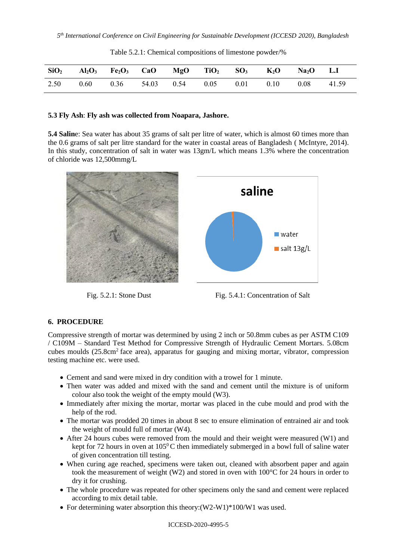| $SiO2$ Al <sub>2</sub> O <sub>3</sub> Fe <sub>2</sub> O <sub>3</sub> CaO MgO TiO <sub>2</sub> SO <sub>3</sub> K <sub>2</sub> O Na <sub>2</sub> O L.I |                                                                  |  |  |  |  |
|------------------------------------------------------------------------------------------------------------------------------------------------------|------------------------------------------------------------------|--|--|--|--|
| 2.50                                                                                                                                                 | $0.60$ $0.36$ $54.03$ $0.54$ $0.05$ $0.01$ $0.10$ $0.08$ $41.59$ |  |  |  |  |

Table 5.2.1: Chemical compositions of limestone powder/%

### **5***.***3 Fly Ash**: **Fly ash was collected from Noapara, Jashore.**

**5.4 Salin**e: Sea water has about 35 grams of salt per litre of water, which is almost 60 times more than the 0.6 grams of salt per litre standard for the water in coastal areas of Bangladesh ( McIntyre, 2014). In this study, concentration of salt in water was 13gm/L which means 1.3% where the concentration of chloride was 12,500mmg/L





### **6. PROCEDURE**

Compressive strength of mortar was determined by using 2 inch or 50.8mm cubes as per ASTM C109 / C109M – Standard Test Method for Compressive Strength of Hydraulic Cement Mortars. 5.08cm cubes moulds (25.8cm<sup>2</sup> face area), apparatus for gauging and mixing mortar, vibrator, compression testing machine etc. were used.

- Cement and sand were mixed in dry condition with a trowel for 1 minute.
- Then water was added and mixed with the sand and cement until the mixture is of uniform colour also took the weight of the empty mould (W3).
- Immediately after mixing the mortar, mortar was placed in the cube mould and prod with the help of the rod.
- The mortar was prodded 20 times in about 8 sec to ensure elimination of entrained air and took the weight of mould full of mortar (W4).
- After 24 hours cubes were removed from the mould and their weight were measured (W1) and kept for 72 hours in oven at  $105^{\circ}$ C then immediately submerged in a bowl full of saline water of given concentration till testing.
- When curing age reached, specimens were taken out, cleaned with absorbent paper and again took the measurement of weight (W2) and stored in oven with 100°C for 24 hours in order to dry it for crushing.
- The whole procedure was repeated for other specimens only the sand and cement were replaced according to mix detail table.
- For determining water absorption this theory:  $(W2-W1)*100/W1$  was used.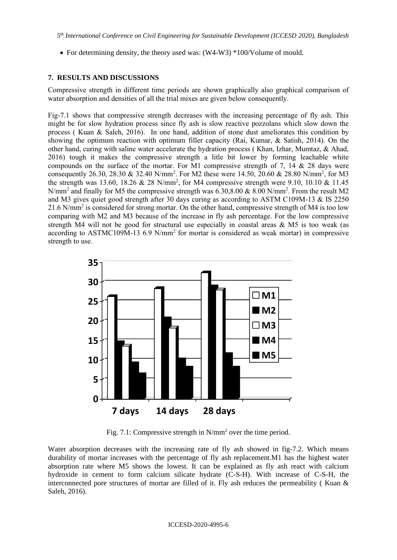• For determining density, the theory used was: (W4-W3) \*100/Volume of mould.

### **7. RESULTS AND DISCUSSIONS**

Compressive strength in different time periods are shown graphically also graphical comparison of water absorption and densities of all the trial mixes are given below consequently.

Fig-7.1 shows that compressive strength decreases with the increasing percentage of fly ash. This might be for slow hydration process since fly ash is slow reactive pozzolans which slow down the process ( Kuan & Saleh, 2016). In one hand, addition of stone dust ameliorates this condition by showing the optimum reaction with optimum filler capacity (Rai, Kumar, & Satish, 2014). On the other hand, curing with saline water accelerate the hydration process ( Khan, Izhar, Mumtaz, & Ahad, 2016) tough it makes the compressive strength a litle bit lower by forming leachable white compounds on the surface of the mortar. For M1 compressive strength of 7, 14  $\&$  28 days were consequently 26.30, 28.30 & 32.40 N/mm<sup>2</sup>. For M2 these were 14.50, 20.60 & 28.80 N/mm<sup>2</sup>, for M3 the strength was 13.60, 18.26 & 28 N/mm<sup>2</sup>, for M4 compressive strength were 9.10, 10.10 & 11.45 N/mm<sup>2</sup> and finally for M5 the compressive strength was 6.30,8.00 & 8.00 N/mm<sup>2</sup>. From the result M2 and M3 gives quiet good strength after 30 days curing as according to ASTM C109M-13  $\&$  IS 2250 21.6 N/mm<sup>2</sup> is considered for strong mortar. On the other hand, compressive strength of M4 is too low comparing with M2 and M3 because of the increase in fly ash percentage. For the low compressive strength M4 will not be good for structural use especially in coastal areas  $\&$  M5 is too weak (as according to ASTMC109M-13 6.9 N/mm<sup>2</sup> for mortar is considered as weak mortar) in compressive strength to use.



Fig. 7.1: Compressive strength in N/mm<sup>2</sup> over the time period.

Water absorption decreases with the increasing rate of fly ash showed in fig-7.2. Which means durability of mortar increases with the percentage of fly ash replacement.M1 has the highest water absorption rate where M5 shows the lowest. It can be explained as fly ash react with calcium hydroxide in cement to form calcium silicate hydrate (C-S-H). With increase of C-S-H, the interconnected pore structures of mortar are filled of it. Fly ash reduces the permeability (Kuan  $\&$ Saleh, 2016).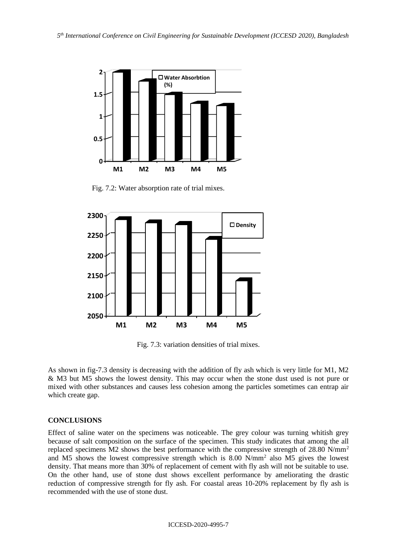

Fig. 7.2: Water absorption rate of trial mixes.



Fig. 7.3: variation densities of trial mixes.

As shown in fig-7.3 density is decreasing with the addition of fly ash which is very little for M1, M2 & M3 but M5 shows the lowest density. This may occur when the stone dust used is not pure or mixed with other substances and causes less cohesion among the particles sometimes can entrap air which create gap.

### **CONCLUSIONS**

Effect of saline water on the specimens was noticeable. The grey colour was turning whitish grey because of salt composition on the surface of the specimen. This study indicates that among the all replaced specimens M2 shows the best performance with the compressive strength of 28.80 N/mm<sup>2</sup> and M5 shows the lowest compressive strength which is 8.00 N/mm<sup>2</sup> also M5 gives the lowest density. That means more than 30% of replacement of cement with fly ash will not be suitable to use. On the other hand, use of stone dust shows excellent performance by ameliorating the drastic reduction of compressive strength for fly ash. For coastal areas 10-20% replacement by fly ash is recommended with the use of stone dust.